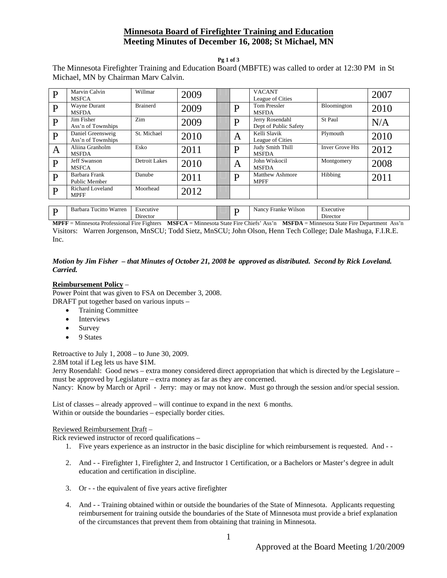# **Minnesota Board of Firefighter Training and Education Meeting Minutes of December 16, 2008; St Michael, MN**

**Pg 1 of 3** 

The Minnesota Firefighter Training and Education Board (MBFTE) was called to order at 12:30 PM in St Michael, MN by Chairman Marv Calvin.

| $\mathbf{P}$ | Marvin Calvin<br><b>MSFCA</b>           | Willmar               | 2009 |   | <b>VACANT</b><br>League of Cities        |                        | 2007 |
|--------------|-----------------------------------------|-----------------------|------|---|------------------------------------------|------------------------|------|
| P            | Wayne Durant<br><b>MSFDA</b>            | <b>Brainerd</b>       | 2009 | D | <b>Tom Pressler</b><br><b>MSFDA</b>      | Bloomington            | 2010 |
| $\mathbf{P}$ | Jim Fisher<br>Ass'n of Townships        | Zim                   | 2009 | D | Jerry Rosendahl<br>Dept of Public Safety | St Paul                | N/A  |
| $\mathbf{P}$ | Daniel Greensweig<br>Ass'n of Townships | St. Michael           | 2010 | A | Kelli Slavik<br>League of Cities         | Plymouth               | 2010 |
| A            | Aliina Granholm<br><b>MSFDA</b>         | Esko                  | 2011 | D | Judy Smith Thill<br><b>MSFDA</b>         | <b>Inver Grove Hts</b> | 2012 |
| P            | <b>Jeff Swanson</b><br><b>MSFCA</b>     | Detroit Lakes         | 2010 | Α | John Wiskocil<br><b>MSFDA</b>            | Montgomery             | 2008 |
| $\mathbf{P}$ | Barbara Frank<br>Public Member          | Danube                | 2011 | D | Matthew Ashmore<br><b>MPFF</b>           | Hibbing                | 2011 |
| $\mathbf{P}$ | <b>Richard Loveland</b><br><b>MPFF</b>  | Moorhead              | 2012 |   |                                          |                        |      |
|              |                                         |                       |      |   |                                          |                        |      |
| P            | Barbara Tucitto Warren                  | Executive<br>Director |      | D | Nancy Franke Wilson                      | Executive<br>Director  |      |

**MPFF** = Minnesota Professional Fire Fighters **MSFCA** = Minnesota State Fire Chiefs' Ass'n **MSFDA** = Minnesota State Fire Department Ass'n Visitors: Warren Jorgenson, MnSCU; Todd Sietz, MnSCU; John Olson, Henn Tech College; Dale Mashuga, F.I.R.E. Inc.

# *Motion by Jim Fisher – that Minutes of October 21, 2008 be approved as distributed. Second by Rick Loveland. Carried.*

# **Reimbursement Policy** –

Power Point that was given to FSA on December 3, 2008. DRAFT put together based on various inputs –

- Training Committee
- Interviews
- Survey
- 9 States

Retroactive to July 1, 2008 – to June 30, 2009.

2.8M total if Leg lets us have \$1M.

Jerry Rosendahl: Good news – extra money considered direct appropriation that which is directed by the Legislature – must be approved by Legislature – extra money as far as they are concerned.

Nancy: Know by March or April - Jerry: may or may not know. Must go through the session and/or special session.

List of classes – already approved – will continue to expand in the next 6 months. Within or outside the boundaries – especially border cities.

# Reviewed Reimbursement Draft –

Rick reviewed instructor of record qualifications –

- 1. Five years experience as an instructor in the basic discipline for which reimbursement is requested. And -
- 2. And - Firefighter 1, Firefighter 2, and Instructor 1 Certification, or a Bachelors or Master's degree in adult education and certification in discipline.
- 3. Or - the equivalent of five years active firefighter
- 4. And - Training obtained within or outside the boundaries of the State of Minnesota. Applicants requesting reimbursement for training outside the boundaries of the State of Minnesota must provide a brief explanation of the circumstances that prevent them from obtaining that training in Minnesota.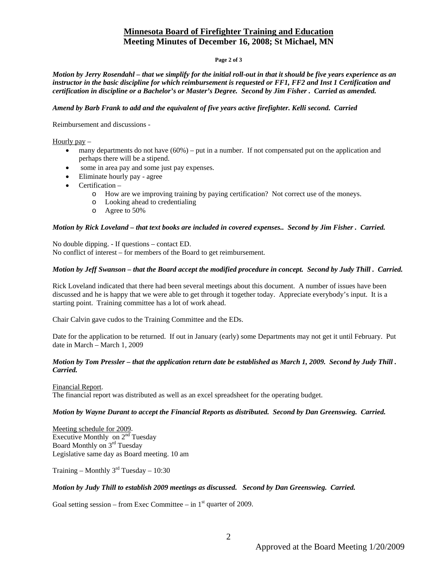# **Minnesota Board of Firefighter Training and Education Meeting Minutes of December 16, 2008; St Michael, MN**

#### **Page 2 of 3**

*Motion by Jerry Rosendahl – that we simplify for the initial roll-out in that it should be five years experience as an instructor in the basic discipline for which reimbursement is requested or FF1, FF2 and Inst 1 Certification and certification in discipline or a Bachelor's or Master's Degree. Second by Jim Fisher . Carried as amended.* 

#### *Amend by Barb Frank to add and the equivalent of five years active firefighter. Kelli second. Carried*

Reimbursement and discussions -

Hourly pay –

- $\bullet$  many departments do not have  $(60\%)$  put in a number. If not compensated put on the application and perhaps there will be a stipend.
- some in area pay and some just pay expenses.
- Eliminate hourly pay agree
- $\bullet$  Certification
	- o How are we improving training by paying certification? Not correct use of the moneys.
	- o Looking ahead to credentialing
	- o Agree to 50%

### *Motion by Rick Loveland – that text books are included in covered expenses.. Second by Jim Fisher . Carried.*

No double dipping. - If questions – contact ED. No conflict of interest – for members of the Board to get reimbursement.

### *Motion by Jeff Swanson – that the Board accept the modified procedure in concept. Second by Judy Thill . Carried.*

Rick Loveland indicated that there had been several meetings about this document. A number of issues have been discussed and he is happy that we were able to get through it together today. Appreciate everybody's input. It is a starting point. Training committee has a lot of work ahead.

Chair Calvin gave cudos to the Training Committee and the EDs.

Date for the application to be returned. If out in January (early) some Departments may not get it until February. Put date in March – March 1, 2009

# *Motion by Tom Pressler – that the application return date be established as March 1, 2009. Second by Judy Thill . Carried.*

Financial Report. The financial report was distributed as well as an excel spreadsheet for the operating budget.

#### *Motion by Wayne Durant to accept the Financial Reports as distributed. Second by Dan Greenswieg. Carried.*

Meeting schedule for 2009. Executive Monthly on 2<sup>nd</sup> Tuesday Board Monthly on 3rd Tuesday Legislative same day as Board meeting. 10 am

Training – Monthly  $3<sup>rd</sup>$  Tuesday – 10:30

# *Motion by Judy Thill to establish 2009 meetings as discussed. Second by Dan Greenswieg. Carried.*

Goal setting session – from Exec Committee – in  $1<sup>st</sup>$  quarter of 2009.